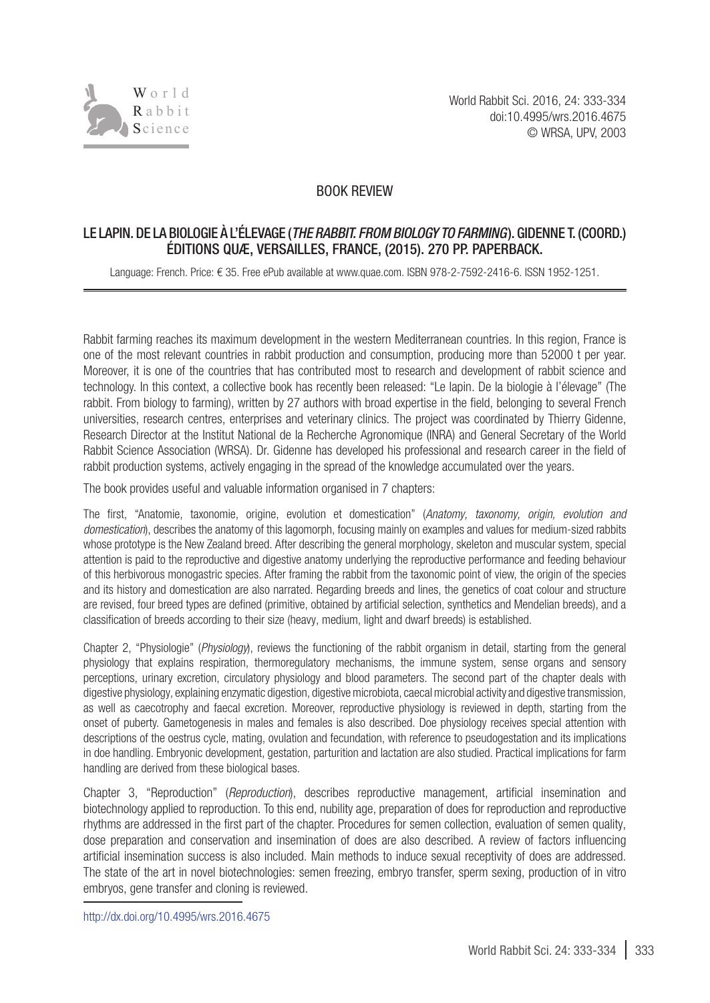

## BOOK REVIEW

## LE LAPIN. DE LA BIOLOGIE À L'ÉLEVAGE (*THE RABBIT. FROM BIOLOGY TO FARMING*). GIDENNE T. (COORD.) ÉDITIONS QUÆ, VERSAILLES, FRANCE, (2015). 270 PP. PAPERBACK.

Language: French. Price: € 35. Free ePub available at www.quae.com. ISBN 978-2-7592-2416-6. ISSN 1952-1251.

Rabbit farming reaches its maximum development in the western Mediterranean countries. In this region, France is one of the most relevant countries in rabbit production and consumption, producing more than 52000 t per year. Moreover, it is one of the countries that has contributed most to research and development of rabbit science and technology. In this context, a collective book has recently been released: "Le lapin. De la biologie à l'élevage" (The rabbit. From biology to farming), written by 27 authors with broad expertise in the field, belonging to several French universities, research centres, enterprises and veterinary clinics. The project was coordinated by Thierry Gidenne, Research Director at the Institut National de la Recherche Agronomique (INRA) and General Secretary of the World Rabbit Science Association (WRSA). Dr. Gidenne has developed his professional and research career in the field of rabbit production systems, actively engaging in the spread of the knowledge accumulated over the years.

The book provides useful and valuable information organised in 7 chapters:

The first, "Anatomie, taxonomie, origine, evolution et domestication" (*Anatomy, taxonomy, origin, evolution and domestication*), describes the anatomy of this lagomorph, focusing mainly on examples and values for medium-sized rabbits whose prototype is the New Zealand breed. After describing the general morphology, skeleton and muscular system, special attention is paid to the reproductive and digestive anatomy underlying the reproductive performance and feeding behaviour of this herbivorous monogastric species. After framing the rabbit from the taxonomic point of view, the origin of the species and its history and domestication are also narrated. Regarding breeds and lines, the genetics of coat colour and structure are revised, four breed types are defined (primitive, obtained by artificial selection, synthetics and Mendelian breeds), and a classification of breeds according to their size (heavy, medium, light and dwarf breeds) is established.

Chapter 2, "Physiologie" (*Physiology*), reviews the functioning of the rabbit organism in detail, starting from the general physiology that explains respiration, thermoregulatory mechanisms, the immune system, sense organs and sensory perceptions, urinary excretion, circulatory physiology and blood parameters. The second part of the chapter deals with digestive physiology, explaining enzymatic digestion, digestive microbiota, caecal microbial activity and digestive transmission, as well as caecotrophy and faecal excretion. Moreover, reproductive physiology is reviewed in depth, starting from the onset of puberty. Gametogenesis in males and females is also described. Doe physiology receives special attention with descriptions of the oestrus cycle, mating, ovulation and fecundation, with reference to pseudogestation and its implications in doe handling. Embryonic development, gestation, parturition and lactation are also studied. Practical implications for farm handling are derived from these biological bases.

Chapter 3, "Reproduction" (*Reproduction*), describes reproductive management, artificial insemination and biotechnology applied to reproduction. To this end, nubility age, preparation of does for reproduction and reproductive rhythms are addressed in the first part of the chapter. Procedures for semen collection, evaluation of semen quality, dose preparation and conservation and insemination of does are also described. A review of factors influencing artificial insemination success is also included. Main methods to induce sexual receptivity of does are addressed. The state of the art in novel biotechnologies: semen freezing, embryo transfer, sperm sexing, production of in vitro embryos, gene transfer and cloning is reviewed.

[http://dx.doi.org/10.4995/wrs.2016.](http://dx.doi.org/10.4995/wrs.2016.4675)4675